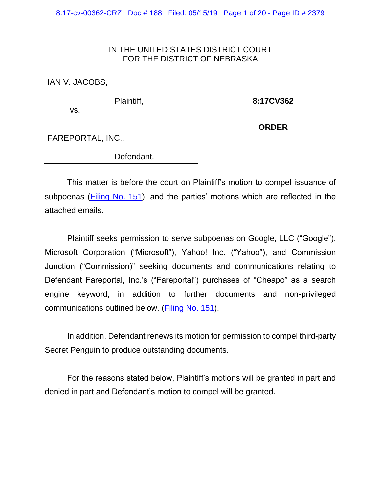8:17-cv-00362-CRZ Doc # 188 Filed: 05/15/19 Page 1 of 20 - Page ID # 2379

#### IN THE UNITED STATES DISTRICT COURT FOR THE DISTRICT OF NEBRASKA

IAN V. JACOBS,

vs.

Plaintiff,

**8:17CV362**

**ORDER**

FAREPORTAL, INC.,

Defendant.

This matter is before the court on Plaintiff's motion to compel issuance of subpoenas [\(Filing No. 151\)](https://ecf.ned.uscourts.gov/doc1/11314200687), and the parties' motions which are reflected in the attached emails.

Plaintiff seeks permission to serve subpoenas on Google, LLC ("Google"), Microsoft Corporation ("Microsoft"), Yahoo! Inc. ("Yahoo"), and Commission Junction ("Commission)" seeking documents and communications relating to Defendant Fareportal, Inc.'s ("Fareportal") purchases of "Cheapo" as a search engine keyword, in addition to further documents and non-privileged communications outlined below. [\(Filing No. 151\)](https://ecf.ned.uscourts.gov/doc1/11314200687).

In addition, Defendant renews its motion for permission to compel third-party Secret Penguin to produce outstanding documents.

For the reasons stated below, Plaintiff's motions will be granted in part and denied in part and Defendant's motion to compel will be granted.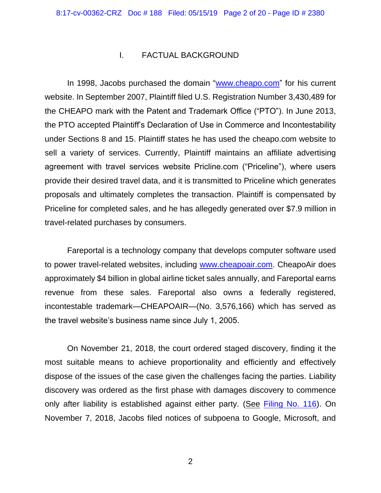#### I. FACTUAL BACKGROUND

In 1998, Jacobs purchased the domain ["www.cheapo.com"](http://www.cheapo.com/) for his current website. In September 2007, Plaintiff filed U.S. Registration Number 3,430,489 for the CHEAPO mark with the Patent and Trademark Office ("PTO"). In June 2013, the PTO accepted Plaintiff's Declaration of Use in Commerce and Incontestability under Sections 8 and 15. Plaintiff states he has used the cheapo.com website to sell a variety of services. Currently, Plaintiff maintains an affiliate advertising agreement with travel services website Pricline.com ("Priceline"), where users provide their desired travel data, and it is transmitted to Priceline which generates proposals and ultimately completes the transaction. Plaintiff is compensated by Priceline for completed sales, and he has allegedly generated over \$7.9 million in travel-related purchases by consumers.

Fareportal is a technology company that develops computer software used to power travel-related websites, including [www.cheapoair.com.](http://www.cheapoair.com/) CheapoAir does approximately \$4 billion in global airline ticket sales annually, and Fareportal earns revenue from these sales. Fareportal also owns a federally registered, incontestable trademark—CHEAPOAIR—(No. 3,576,166) which has served as the travel website's business name since July 1, 2005.

On November 21, 2018, the court ordered staged discovery, finding it the most suitable means to achieve proportionality and efficiently and effectively dispose of the issues of the case given the challenges facing the parties. Liability discovery was ordered as the first phase with damages discovery to commence only after liability is established against either party. (See [Filing No. 116\)](https://ecf.ned.uscourts.gov/doc1/11314116695). On November 7, 2018, Jacobs filed notices of subpoena to Google, Microsoft, and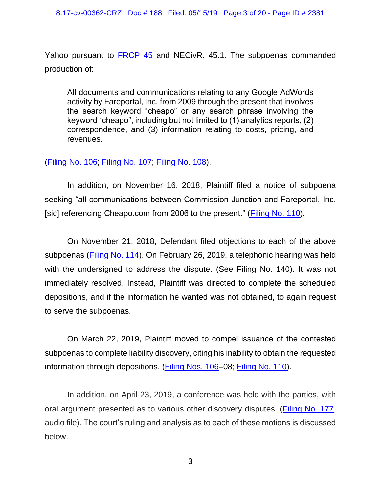Yahoo pursuant to [FRCP](https://www.westlaw.com/Document/NA9FBE4D0B96611D8983DF34406B5929B/View/FullText.html?transitionType=Default&contextData=(sc.Default)&VR=3.0&RS=da3.0) 45 and NECivR. 45.1. The subpoenas commanded production of:

All documents and communications relating to any Google AdWords activity by Fareportal, Inc. from 2009 through the present that involves the search keyword "cheapo" or any search phrase involving the keyword "cheapo", including but not limited to (1) analytics reports, (2) correspondence, and (3) information relating to costs, pricing, and revenues.

### [\(Filing No. 106;](https://ecf.ned.uscourts.gov/doc1/11314106256) [Filing No. 107;](https://ecf.ned.uscourts.gov/doc1/11314106259) [Filing No. 108\)](https://ecf.ned.uscourts.gov/doc1/11314106264).

In addition, on November 16, 2018, Plaintiff filed a notice of subpoena seeking "all communications between Commission Junction and Fareportal, Inc. [sic] referencing Cheapo.com from 2006 to the present." [\(Filing No. 110\)](https://ecf.ned.uscourts.gov/doc1/11314111916).

On November 21, 2018, Defendant filed objections to each of the above subpoenas [\(Filing No. 114\)](https://ecf.ned.uscourts.gov/doc1/11314116241). On February 26, 2019, a telephonic hearing was held with the undersigned to address the dispute. (See Filing No. 140). It was not immediately resolved. Instead, Plaintiff was directed to complete the scheduled depositions, and if the information he wanted was not obtained, to again request to serve the subpoenas.

On March 22, 2019, Plaintiff moved to compel issuance of the contested subpoenas to complete liability discovery, citing his inability to obtain the requested information through depositions. (Filing Nos. 106-08; [Filing No. 110\)](https://ecf.ned.uscourts.gov/doc1/11314111916).

In addition, on April 23, 2019, a conference was held with the parties, with oral argument presented as to various other discovery disputes. [\(Filing No. 177,](https://ecf.ned.uscourts.gov/doc1/11314223335) audio file). The court's ruling and analysis as to each of these motions is discussed below.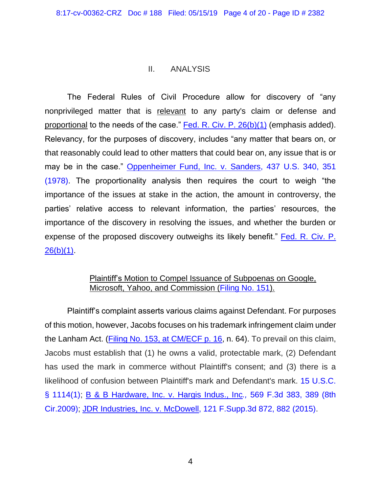## II. ANALYSIS

The Federal Rules of Civil Procedure allow for discovery of "any nonprivileged matter that is relevant to any party's claim or defense and proportional to the needs of the case." [Fed. R. Civ. P.](https://www.westlaw.com/Document/NCBF83860B96411D8983DF34406B5929B/View/FullText.html?transitionType=Default&contextData=(sc.Default)&VR=3.0&RS=da3.0) 26(b)(1) (emphasis added). Relevancy, for the purposes of discovery, includes "any matter that bears on, or that reasonably could lead to other matters that could bear on, any issue that is or may be in the case." [Oppenheimer Fund, Inc. v. Sanders, 437 U.S. 340, 351](https://www.westlaw.com/Document/Ic1e0afe09c1e11d991d0cc6b54f12d4d/View/FullText.html?transitionType=Default&contextData=(sc.Default)&VR=3.0&RS=da3.0&fragmentIdentifier=co_pp_sp_780_351)  [\(1978\).](https://www.westlaw.com/Document/Ic1e0afe09c1e11d991d0cc6b54f12d4d/View/FullText.html?transitionType=Default&contextData=(sc.Default)&VR=3.0&RS=da3.0&fragmentIdentifier=co_pp_sp_780_351) The proportionality analysis then requires the court to weigh "the importance of the issues at stake in the action, the amount in controversy, the parties' relative access to relevant information, the parties' resources, the importance of the discovery in resolving the issues, and whether the burden or expense of the proposed discovery outweighs its likely benefit." [Fed. R. Civ. P.](https://www.westlaw.com/Document/NCBF83860B96411D8983DF34406B5929B/View/FullText.html?transitionType=Default&contextData=(sc.Default)&VR=3.0&RS=da3.0)   $26(b)(1)$ .

## Plaintiff's Motion to Compel Issuance of Subpoenas on Google, Microsoft, Yahoo, and Commission [\(Filing No. 151\)](https://ecf.ned.uscourts.gov/doc1/11314200687).

Plaintiff's complaint asserts various claims against Defendant. For purposes of this motion, however, Jacobs focuses on his trademark infringement claim under the Lanham Act. [\(Filing No. 153, at CM/ECF p. 16,](https://ecf.ned.uscourts.gov/doc1/11314200693?page=16) n. 64). To prevail on this claim, Jacobs must establish that (1) he owns a valid, protectable mark, (2) Defendant has used the mark in commerce without Plaintiff's consent; and (3) there is a likelihood of confusion between Plaintiff's mark and Defendant's mark. [15 U.S.C.](https://www.westlaw.com/Document/N1803CA80BCE311D98FA4F357FE3D842F/View/FullText.html?transitionType=Default&contextData=(sc.Default)&VR=3.0&RS=da3.0)  [§ 1114\(1\);](https://www.westlaw.com/Document/N1803CA80BCE311D98FA4F357FE3D842F/View/FullText.html?transitionType=Default&contextData=(sc.Default)&VR=3.0&RS=da3.0) [B & B Hardware, Inc. v. Hargis Indus., Inc](https://www.westlaw.com/Document/Iae6167d05f3811de8bf6cd8525c41437/View/FullText.html?transitionType=Default&contextData=(sc.Default)&VR=3.0&RS=da3.0&fragmentIdentifier=co_pp_sp_506_389)*.,* 569 F.3d 383, 389 (8th [Cir.2009\);](https://www.westlaw.com/Document/Iae6167d05f3811de8bf6cd8525c41437/View/FullText.html?transitionType=Default&contextData=(sc.Default)&VR=3.0&RS=da3.0&fragmentIdentifier=co_pp_sp_506_389) [JDR Industries, Inc. v. McDowell, 121 F.Supp.3d 872, 882 \(2015\).](https://www.westlaw.com/Document/I08605a383bf011e5b86bd602cb8781fa/View/FullText.html?transitionType=Default&contextData=(sc.Default)&VR=3.0&RS=da3.0&fragmentIdentifier=co_pp_sp_7903_882)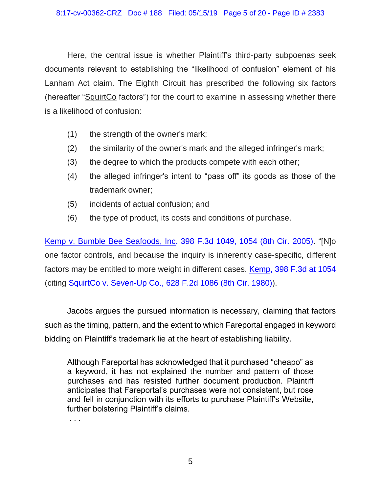Here, the central issue is whether Plaintiff's third-party subpoenas seek documents relevant to establishing the "likelihood of confusion" element of his Lanham Act claim. The Eighth Circuit has prescribed the following six factors (hereafter "SquirtCo factors") for the court to examine in assessing whether there is a likelihood of confusion:

- (1) the strength of the owner's mark;
- (2) the similarity of the owner's mark and the alleged infringer's mark;
- (3) the degree to which the products compete with each other;
- (4) the alleged infringer's intent to "pass off" its goods as those of the trademark owner;
- (5) incidents of actual confusion; and
- (6) the type of product, its costs and conditions of purchase.

[Kemp v. Bumble Bee Seafoods, Inc. 398 F.3d 1049, 1054 \(8th Cir. 2005\).](https://www.westlaw.com/Document/I422b2588885211d9b6ea9f5a173c4523/View/FullText.html?transitionType=Default&contextData=(sc.Default)&VR=3.0&RS=da3.0&fragmentIdentifier=co_pp_sp_506_1054) "[N]o one factor controls, and because the inquiry is inherently case-specific, different factors may be entitled to more weight in different cases. **[Kemp, 398 F.3d at 1054](https://www.westlaw.com/Document/I422b2588885211d9b6ea9f5a173c4523/View/FullText.html?transitionType=Default&contextData=(sc.Default)&VR=3.0&RS=da3.0&fragmentIdentifier=co_pp_sp_506_1054)** (citing [SquirtCo v. Seven-Up Co., 628 F.2d 1086 \(8th Cir. 1980\)\)](https://www.westlaw.com/Document/I8c577b27922c11d9bdd1cfdd544ca3a4/View/FullText.html?transitionType=Default&contextData=(sc.Default)&VR=3.0&RS=da3.0).

Jacobs argues the pursued information is necessary, claiming that factors such as the timing, pattern, and the extent to which Fareportal engaged in keyword bidding on Plaintiff's trademark lie at the heart of establishing liability.

Although Fareportal has acknowledged that it purchased "cheapo" as a keyword, it has not explained the number and pattern of those purchases and has resisted further document production. Plaintiff anticipates that Fareportal's purchases were not consistent, but rose and fell in conjunction with its efforts to purchase Plaintiff's Website, further bolstering Plaintiff's claims.

. . .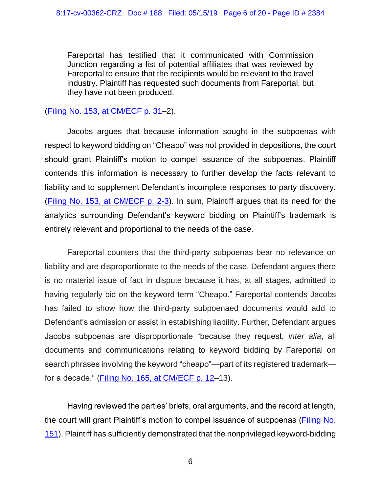Fareportal has testified that it communicated with Commission Junction regarding a list of potential affiliates that was reviewed by Fareportal to ensure that the recipients would be relevant to the travel industry. Plaintiff has requested such documents from Fareportal, but they have not been produced.

# [\(Filing No. 153, at CM/ECF p. 31–](https://ecf.ned.uscourts.gov/doc1/11314200693?page=31)2).

Jacobs argues that because information sought in the subpoenas with respect to keyword bidding on "Cheapo" was not provided in depositions, the court should grant Plaintiff's motion to compel issuance of the subpoenas. Plaintiff contends this information is necessary to further develop the facts relevant to liability and to supplement Defendant's incomplete responses to party discovery. [\(Filing No. 153, at CM/ECF p. 2-3\)](https://ecf.ned.uscourts.gov/doc1/11314200693?page=2). In sum, Plaintiff argues that its need for the analytics surrounding Defendant's keyword bidding on Plaintiff's trademark is entirely relevant and proportional to the needs of the case.

Fareportal counters that the third-party subpoenas bear no relevance on liability and are disproportionate to the needs of the case. Defendant argues there is no material issue of fact in dispute because it has, at all stages, admitted to having regularly bid on the keyword term "Cheapo." Fareportal contends Jacobs has failed to show how the third-party subpoenaed documents would add to Defendant's admission or assist in establishing liability. Further, Defendant argues Jacobs subpoenas are disproportionate "because they request, *inter alia*, all documents and communications relating to keyword bidding by Fareportal on search phrases involving the keyword "cheapo"—part of its registered trademark— for a decade." [\(Filing No. 165, at CM/ECF p. 12–](https://ecf.ned.uscourts.gov/doc1/11314211691?page=12)13).

Having reviewed the parties' briefs, oral arguments, and the record at length, the court will grant Plaintiff's motion to compel issuance of subpoenas [\(Filing No.](https://ecf.ned.uscourts.gov/doc1/11314200687)  [151\)](https://ecf.ned.uscourts.gov/doc1/11314200687). Plaintiff has sufficiently demonstrated that the nonprivileged keyword-bidding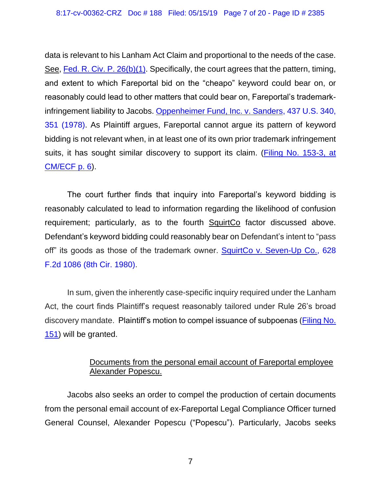data is relevant to his Lanham Act Claim and proportional to the needs of the case. See, [Fed. R. Civ. P. 26\(b\)\(1\).](https://www.westlaw.com/Document/NCBF83860B96411D8983DF34406B5929B/View/FullText.html?transitionType=Default&contextData=(sc.Default)&VR=3.0&RS=da3.0) Specifically, the court agrees that the pattern, timing, and extent to which Fareportal bid on the "cheapo" keyword could bear on, or reasonably could lead to other matters that could bear on, Fareportal's trademarkinfringement liability to Jacobs. [Oppenheimer Fund, Inc. v. Sanders, 437 U.S. 340,](https://www.westlaw.com/Document/Ic1e0afe09c1e11d991d0cc6b54f12d4d/View/FullText.html?transitionType=Default&contextData=(sc.Default)&VR=3.0&RS=da3.0&fragmentIdentifier=co_pp_sp_780_351)  [351 \(1978\).](https://www.westlaw.com/Document/Ic1e0afe09c1e11d991d0cc6b54f12d4d/View/FullText.html?transitionType=Default&contextData=(sc.Default)&VR=3.0&RS=da3.0&fragmentIdentifier=co_pp_sp_780_351) As Plaintiff argues, Fareportal cannot argue its pattern of keyword bidding is not relevant when, in at least one of its own prior trademark infringement suits, it has sought similar discovery to support its claim. [\(Filing No. 153-3, at](https://ecf.ned.uscourts.gov/doc1/11314200696?page=6)  [CM/ECF p. 6\)](https://ecf.ned.uscourts.gov/doc1/11314200696?page=6).

The court further finds that inquiry into Fareportal's keyword bidding is reasonably calculated to lead to information regarding the likelihood of confusion requirement; particularly, as to the fourth SquirtCo factor discussed above. Defendant's keyword bidding could reasonably bear on Defendant's intent to "pass off" its goods as those of the trademark owner. [SquirtCo v. Seven-Up Co., 628](https://www.westlaw.com/Document/I8c577b27922c11d9bdd1cfdd544ca3a4/View/FullText.html?transitionType=Default&contextData=(sc.Default)&VR=3.0&RS=da3.0)  [F.2d 1086 \(8th Cir. 1980\).](https://www.westlaw.com/Document/I8c577b27922c11d9bdd1cfdd544ca3a4/View/FullText.html?transitionType=Default&contextData=(sc.Default)&VR=3.0&RS=da3.0)

In sum, given the inherently case-specific inquiry required under the Lanham Act, the court finds Plaintiff's request reasonably tailored under Rule 26's broad discovery mandate. Plaintiff's motion to compel issuance of subpoenas [\(Filing No.](https://ecf.ned.uscourts.gov/doc1/11314200687)  [151\)](https://ecf.ned.uscourts.gov/doc1/11314200687) will be granted.

# Documents from the personal email account of Fareportal employee Alexander Popescu.

Jacobs also seeks an order to compel the production of certain documents from the personal email account of ex-Fareportal Legal Compliance Officer turned General Counsel, Alexander Popescu ("Popescu"). Particularly, Jacobs seeks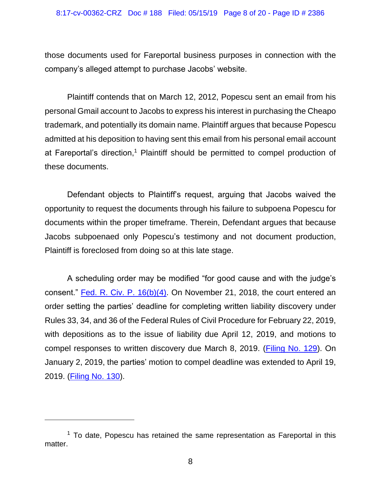those documents used for Fareportal business purposes in connection with the company's alleged attempt to purchase Jacobs' website.

Plaintiff contends that on March 12, 2012, Popescu sent an email from his personal Gmail account to Jacobs to express his interest in purchasing the Cheapo trademark, and potentially its domain name. Plaintiff argues that because Popescu admitted at his deposition to having sent this email from his personal email account at Fareportal's direction, <sup>1</sup> Plaintiff should be permitted to compel production of these documents.

Defendant objects to Plaintiff's request, arguing that Jacobs waived the opportunity to request the documents through his failure to subpoena Popescu for documents within the proper timeframe. Therein, Defendant argues that because Jacobs subpoenaed only Popescu's testimony and not document production, Plaintiff is foreclosed from doing so at this late stage.

A scheduling order may be modified "for good cause and with the judge's consent." [Fed. R. Civ. P. 16\(b\)\(4\).](https://www.westlaw.com/Document/NC29248D0B96211D8983DF34406B5929B/View/FullText.html?transitionType=Default&contextData=(sc.Default)&VR=3.0&RS=da3.0) On November 21, 2018, the court entered an order setting the parties' deadline for completing written liability discovery under Rules 33, 34, and 36 of the Federal Rules of Civil Procedure for February 22, 2019, with depositions as to the issue of liability due April 12, 2019, and motions to compel responses to written discovery due March 8, 2019. [\(Filing No. 129\)](https://ecf.ned.uscourts.gov/doc1/11314137675). On January 2, 2019, the parties' motion to compel deadline was extended to April 19, 2019. [\(Filing No. 130\)](https://ecf.ned.uscourts.gov/doc1/11314139848).

 $1$  To date, Popescu has retained the same representation as Fareportal in this matter.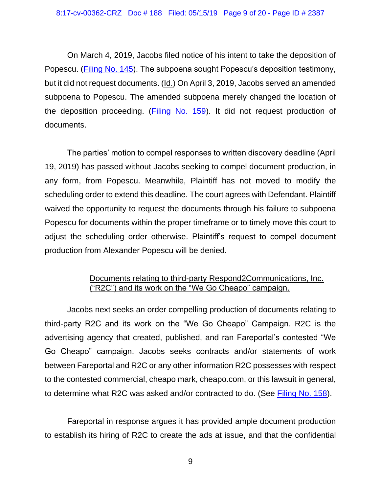#### 8:17-cv-00362-CRZ Doc # 188 Filed: 05/15/19 Page 9 of 20 - Page ID # 2387

On March 4, 2019, Jacobs filed notice of his intent to take the deposition of Popescu. [\(Filing No. 145\)](https://ecf.ned.uscourts.gov/doc1/11314186541). The subpoena sought Popescu's deposition testimony, but it did not request documents. (Id.) On April 3, 2019, Jacobs served an amended subpoena to Popescu. The amended subpoena merely changed the location of the deposition proceeding. [\(Filing No. 159\)](https://ecf.ned.uscourts.gov/doc1/11314209039). It did not request production of documents.

The parties' motion to compel responses to written discovery deadline (April 19, 2019) has passed without Jacobs seeking to compel document production, in any form, from Popescu. Meanwhile, Plaintiff has not moved to modify the scheduling order to extend this deadline. The court agrees with Defendant. Plaintiff waived the opportunity to request the documents through his failure to subpoena Popescu for documents within the proper timeframe or to timely move this court to adjust the scheduling order otherwise. Plaintiff's request to compel document production from Alexander Popescu will be denied.

## Documents relating to third-party Respond2Communications, Inc. ("R2C") and its work on the "We Go Cheapo" campaign.

Jacobs next seeks an order compelling production of documents relating to third-party R2C and its work on the "We Go Cheapo" Campaign. R2C is the advertising agency that created, published, and ran Fareportal's contested "We Go Cheapo" campaign. Jacobs seeks contracts and/or statements of work between Fareportal and R2C or any other information R2C possesses with respect to the contested commercial, cheapo mark, cheapo.com, or this lawsuit in general, to determine what R2C was asked and/or contracted to do. (See [Filing No. 158\)](https://ecf.ned.uscourts.gov/doc1/11314205376).

Fareportal in response argues it has provided ample document production to establish its hiring of R2C to create the ads at issue, and that the confidential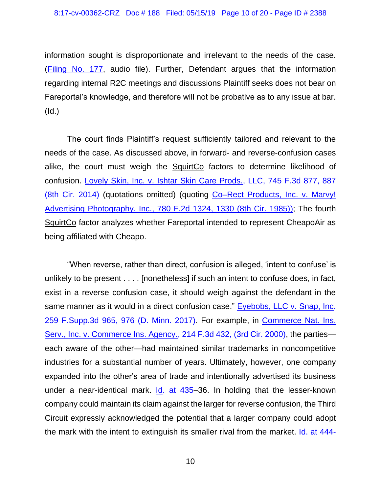information sought is disproportionate and irrelevant to the needs of the case. [\(Filing No. 177,](https://ecf.ned.uscourts.gov/doc1/11314223335) audio file). Further, Defendant argues that the information regarding internal R2C meetings and discussions Plaintiff seeks does not bear on Fareportal's knowledge, and therefore will not be probative as to any issue at bar.  $(\underline{\mathsf{Id}})$ 

The court finds Plaintiff's request sufficiently tailored and relevant to the needs of the case. As discussed above, in forward- and reverse-confusion cases alike, the court must weigh the SquirtCo factors to determine likelihood of confusion. [Lovely Skin, Inc. v. Ishtar Skin Care Prods., LLC, 745 F.3d 877, 887](https://www.westlaw.com/Document/Ie47f6737aac911e39ac8bab74931929c/View/FullText.html?transitionType=Default&contextData=(sc.Default)&VR=3.0&RS=da3.0&fragmentIdentifier=co_pp_sp_506_887)  [\(8th Cir. 2014\)](https://www.westlaw.com/Document/Ie47f6737aac911e39ac8bab74931929c/View/FullText.html?transitionType=Default&contextData=(sc.Default)&VR=3.0&RS=da3.0&fragmentIdentifier=co_pp_sp_506_887) (quotations omitted) (quoting [Co–Rect Products, Inc. v. Marvy!](https://www.westlaw.com/Document/I5522d2f794b411d9bdd1cfdd544ca3a4/View/FullText.html?transitionType=Default&contextData=(sc.Default)&VR=3.0&RS=da3.0&fragmentIdentifier=co_pp_sp_350_1330) Advertising [Photography, Inc., 780 F.2d 1324, 1330 \(8th Cir. 1985\)\);](https://www.westlaw.com/Document/I5522d2f794b411d9bdd1cfdd544ca3a4/View/FullText.html?transitionType=Default&contextData=(sc.Default)&VR=3.0&RS=da3.0&fragmentIdentifier=co_pp_sp_350_1330) The fourth SquirtCo factor analyzes whether Fareportal intended to represent CheapoAir as being affiliated with Cheapo.

"When reverse, rather than direct, confusion is alleged, 'intent to confuse' is unlikely to be present . . . . [nonetheless] if such an intent to confuse does, in fact, exist in a reverse confusion case, it should weigh against the defendant in the same manner as it would in a direct confusion case." [Eyebobs, LLC v. Snap, Inc.](https://www.westlaw.com/Document/Ibeaaa9e034da11e7afe7804507f6db3f/View/FullText.html?transitionType=Default&contextData=(sc.Default)&VR=3.0&RS=da3.0&fragmentIdentifier=co_pp_sp_7903_976)  [259 F.Supp.3d 965, 976 \(D. Minn. 2017\).](https://www.westlaw.com/Document/Ibeaaa9e034da11e7afe7804507f6db3f/View/FullText.html?transitionType=Default&contextData=(sc.Default)&VR=3.0&RS=da3.0&fragmentIdentifier=co_pp_sp_7903_976) For example, in [Commerce Nat. Ins.](https://www.westlaw.com/Document/I060bf07e798411d98c82a53fc8ac8757/View/FullText.html?transitionType=Default&contextData=(sc.Default)&VR=3.0&RS=da3.0)  [Serv., Inc. v. Commerce Ins. Agency., 214 F.3d 432, \(3rd Cir. 2000\),](https://www.westlaw.com/Document/I060bf07e798411d98c82a53fc8ac8757/View/FullText.html?transitionType=Default&contextData=(sc.Default)&VR=3.0&RS=da3.0) the parties each aware of the other—had maintained similar trademarks in noncompetitive industries for a substantial number of years. Ultimately, however, one company expanded into the other's area of trade and intentionally advertised its business under a near-identical mark. [Id. at 435–](https://www.westlaw.com/Document/I060bf07e798411d98c82a53fc8ac8757/View/FullText.html?transitionType=Default&contextData=(sc.Default)&VR=3.0&RS=da3.0&fragmentIdentifier=co_pp_sp_506_435)36. In holding that the lesser-known company could maintain its claim against the larger for reverse confusion, the Third Circuit expressly acknowledged the potential that a larger company could adopt the mark with the intent to extinguish its smaller rival from the market. Id. [at 444-](https://www.westlaw.com/Document/I060bf07e798411d98c82a53fc8ac8757/View/FullText.html?transitionType=Default&contextData=(sc.Default)&VR=3.0&RS=da3.0&fragmentIdentifier=co_pp_sp_506_444)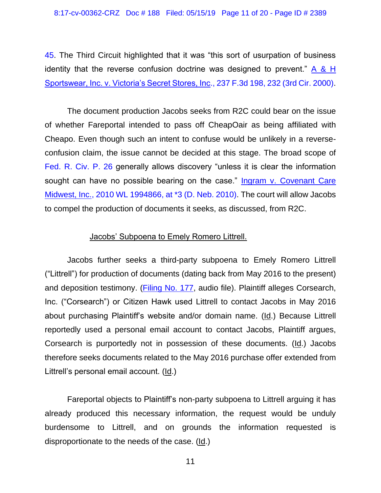8:17-cv-00362-CRZ Doc # 188 Filed: 05/15/19 Page 11 of 20 - Page ID # 2389

[45.](https://www.westlaw.com/Document/I060bf07e798411d98c82a53fc8ac8757/View/FullText.html?transitionType=Default&contextData=(sc.Default)&VR=3.0&RS=da3.0&fragmentIdentifier=co_pp_sp_506_444) The Third Circuit highlighted that it was "this sort of usurpation of business identity that the reverse confusion doctrine was designed to prevent." [A & H](https://www.westlaw.com/Document/I94d2e470799411d99c4dbb2f0352441d/View/FullText.html?transitionType=Default&contextData=(sc.Default)&VR=3.0&RS=da3.0&fragmentIdentifier=co_pp_sp_506_232)  [Sportswear, Inc. v. Victoria's Secret Stores, Inc., 237 F.3d 198, 232 \(3rd Cir. 2000\).](https://www.westlaw.com/Document/I94d2e470799411d99c4dbb2f0352441d/View/FullText.html?transitionType=Default&contextData=(sc.Default)&VR=3.0&RS=da3.0&fragmentIdentifier=co_pp_sp_506_232)

The document production Jacobs seeks from R2C could bear on the issue of whether Fareportal intended to pass off CheapOair as being affiliated with Cheapo. Even though such an intent to confuse would be unlikely in a reverseconfusion claim, the issue cannot be decided at this stage. The broad scope of [Fed. R. Civ.](https://www.westlaw.com/Document/NCBF83860B96411D8983DF34406B5929B/View/FullText.html?transitionType=Default&contextData=(sc.Default)&VR=3.0&RS=da3.0) P. 26 generally allows discovery "unless it is clear the information sought can have no possible bearing on the case." [Ingram v. Covenant Care](https://www.westlaw.com/Document/I99335db6641711dfa7ada84b8dc24cbf/View/FullText.html?transitionType=Default&contextData=(sc.Default)&VR=3.0&RS=da3.0&fragmentIdentifier=co_pp_sp_999_3)  [Midwest, Inc., 2010 WL 1994866, at \\*3 \(D. Neb. 2010\).](https://www.westlaw.com/Document/I99335db6641711dfa7ada84b8dc24cbf/View/FullText.html?transitionType=Default&contextData=(sc.Default)&VR=3.0&RS=da3.0&fragmentIdentifier=co_pp_sp_999_3) The court will allow Jacobs to compel the production of documents it seeks, as discussed, from R2C.

#### Jacobs' Subpoena to Emely Romero Littrell.

Jacobs further seeks a third-party subpoena to Emely Romero Littrell ("Littrell") for production of documents (dating back from May 2016 to the present) and deposition testimony. [\(Filing No. 177,](https://ecf.ned.uscourts.gov/doc1/11314223335) audio file). Plaintiff alleges Corsearch, Inc. ("Corsearch") or Citizen Hawk used Littrell to contact Jacobs in May 2016 about purchasing Plaintiff's website and/or domain name. (Id.) Because Littrell reportedly used a personal email account to contact Jacobs, Plaintiff argues, Corsearch is purportedly not in possession of these documents. (Id.) Jacobs therefore seeks documents related to the May 2016 purchase offer extended from Littrell's personal email account. (Id.)

Fareportal objects to Plaintiff's non-party subpoena to Littrell arguing it has already produced this necessary information, the request would be unduly burdensome to Littrell, and on grounds the information requested is disproportionate to the needs of the case. (Id.)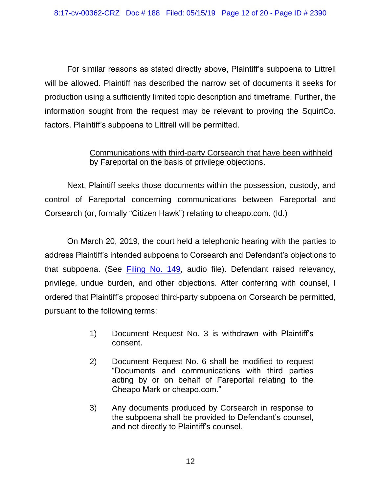For similar reasons as stated directly above, Plaintiff's subpoena to Littrell will be allowed. Plaintiff has described the narrow set of documents it seeks for production using a sufficiently limited topic description and timeframe. Further, the information sought from the request may be relevant to proving the SquirtCo. factors. Plaintiff's subpoena to Littrell will be permitted.

# Communications with third-party Corsearch that have been withheld by Fareportal on the basis of privilege objections.

Next, Plaintiff seeks those documents within the possession, custody, and control of Fareportal concerning communications between Fareportal and Corsearch (or, formally "Citizen Hawk") relating to cheapo.com. (Id.)

On March 20, 2019, the court held a telephonic hearing with the parties to address Plaintiff's intended subpoena to Corsearch and Defendant's objections to that subpoena. (See [Filing No. 149,](https://ecf.ned.uscourts.gov/doc1/11314197625) audio file). Defendant raised relevancy, privilege, undue burden, and other objections. After conferring with counsel, I ordered that Plaintiff's proposed third-party subpoena on Corsearch be permitted, pursuant to the following terms:

- 1) Document Request No. 3 is withdrawn with Plaintiff's consent.
- 2) Document Request No. 6 shall be modified to request "Documents and communications with third parties acting by or on behalf of Fareportal relating to the Cheapo Mark or cheapo.com."
- 3) Any documents produced by Corsearch in response to the subpoena shall be provided to Defendant's counsel, and not directly to Plaintiff's counsel.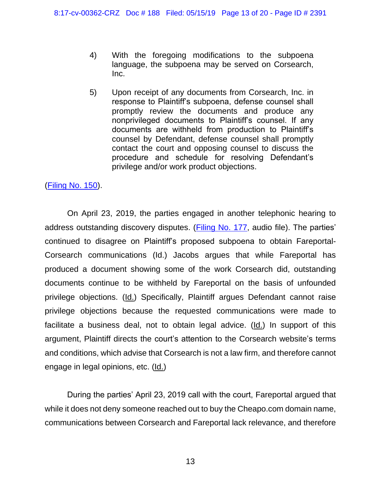- 4) With the foregoing modifications to the subpoena language, the subpoena may be served on Corsearch, Inc.
- 5) Upon receipt of any documents from Corsearch, Inc. in response to Plaintiff's subpoena, defense counsel shall promptly review the documents and produce any nonprivileged documents to Plaintiff's counsel. If any documents are withheld from production to Plaintiff's counsel by Defendant, defense counsel shall promptly contact the court and opposing counsel to discuss the procedure and schedule for resolving Defendant's privilege and/or work product objections.

## [\(Filing No. 150\)](https://ecf.ned.uscourts.gov/doc1/11314197685).

On April 23, 2019, the parties engaged in another telephonic hearing to address outstanding discovery disputes. [\(Filing No. 177,](https://ecf.ned.uscourts.gov/doc1/11314223335) audio file). The parties' continued to disagree on Plaintiff's proposed subpoena to obtain Fareportal-Corsearch communications (Id.) Jacobs argues that while Fareportal has produced a document showing some of the work Corsearch did, outstanding documents continue to be withheld by Fareportal on the basis of unfounded privilege objections. (Id.) Specifically, Plaintiff argues Defendant cannot raise privilege objections because the requested communications were made to facilitate a business deal, not to obtain legal advice. (Id.) In support of this argument, Plaintiff directs the court's attention to the Corsearch website's terms and conditions, which advise that Corsearch is not a law firm, and therefore cannot engage in legal opinions, etc. (Id.)

During the parties' April 23, 2019 call with the court, Fareportal argued that while it does not deny someone reached out to buy the Cheapo.com domain name, communications between Corsearch and Fareportal lack relevance, and therefore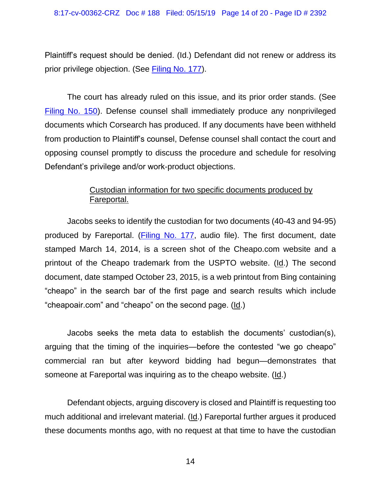Plaintiff's request should be denied. (Id.) Defendant did not renew or address its prior privilege objection. (See [Filing No. 177\)](https://ecf.ned.uscourts.gov/doc1/11314223335).

The court has already ruled on this issue, and its prior order stands. (See [Filing No. 150\)](https://ecf.ned.uscourts.gov/doc1/11314197685). Defense counsel shall immediately produce any nonprivileged documents which Corsearch has produced. If any documents have been withheld from production to Plaintiff's counsel, Defense counsel shall contact the court and opposing counsel promptly to discuss the procedure and schedule for resolving Defendant's privilege and/or work-product objections.

# Custodian information for two specific documents produced by Fareportal.

Jacobs seeks to identify the custodian for two documents (40-43 and 94-95) produced by Fareportal. [\(Filing No. 177,](https://ecf.ned.uscourts.gov/doc1/11314223335) audio file). The first document, date stamped March 14, 2014, is a screen shot of the Cheapo.com website and a printout of the Cheapo trademark from the USPTO website. (Id.) The second document, date stamped October 23, 2015, is a web printout from Bing containing "cheapo" in the search bar of the first page and search results which include "cheapoair.com" and "cheapo" on the second page. (Id.)

Jacobs seeks the meta data to establish the documents' custodian(s), arguing that the timing of the inquiries—before the contested "we go cheapo" commercial ran but after keyword bidding had begun—demonstrates that someone at Fareportal was inquiring as to the cheapo website. (Id.)

Defendant objects, arguing discovery is closed and Plaintiff is requesting too much additional and irrelevant material. (Id.) Fareportal further argues it produced these documents months ago, with no request at that time to have the custodian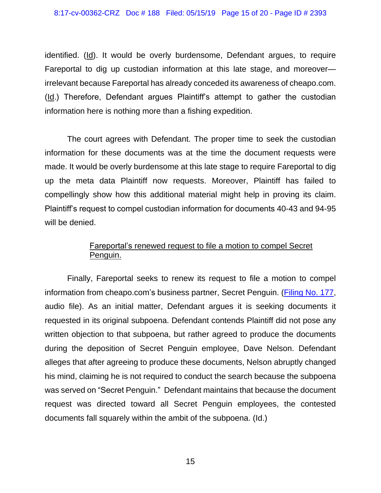#### 8:17-cv-00362-CRZ Doc # 188 Filed: 05/15/19 Page 15 of 20 - Page ID # 2393

identified. (Id). It would be overly burdensome, Defendant argues, to require Fareportal to dig up custodian information at this late stage, and moreover irrelevant because Fareportal has already conceded its awareness of cheapo.com. (Id.) Therefore, Defendant argues Plaintiff's attempt to gather the custodian information here is nothing more than a fishing expedition.

The court agrees with Defendant. The proper time to seek the custodian information for these documents was at the time the document requests were made. It would be overly burdensome at this late stage to require Fareportal to dig up the meta data Plaintiff now requests. Moreover, Plaintiff has failed to compellingly show how this additional material might help in proving its claim. Plaintiff's request to compel custodian information for documents 40-43 and 94-95 will be denied.

### Fareportal's renewed request to file a motion to compel Secret Penguin.

Finally, Fareportal seeks to renew its request to file a motion to compel information from cheapo.com's business partner, Secret Penguin. [\(Filing No. 177,](https://ecf.ned.uscourts.gov/doc1/11314223335) audio file). As an initial matter, Defendant argues it is seeking documents it requested in its original subpoena. Defendant contends Plaintiff did not pose any written objection to that subpoena, but rather agreed to produce the documents during the deposition of Secret Penguin employee, Dave Nelson. Defendant alleges that after agreeing to produce these documents, Nelson abruptly changed his mind, claiming he is not required to conduct the search because the subpoena was served on "Secret Penguin." Defendant maintains that because the document request was directed toward all Secret Penguin employees, the contested documents fall squarely within the ambit of the subpoena. (Id.)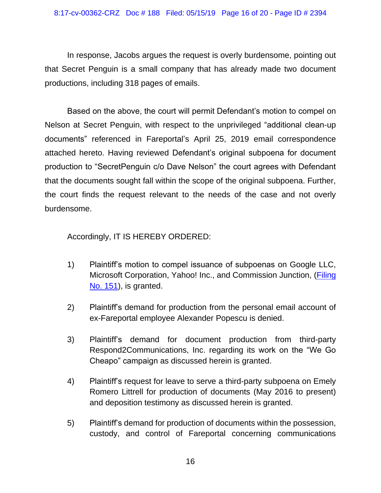In response, Jacobs argues the request is overly burdensome, pointing out that Secret Penguin is a small company that has already made two document productions, including 318 pages of emails.

Based on the above, the court will permit Defendant's motion to compel on Nelson at Secret Penguin, with respect to the unprivileged "additional clean-up documents" referenced in Fareportal's April 25, 2019 email correspondence attached hereto. Having reviewed Defendant's original subpoena for document production to "SecretPenguin c/o Dave Nelson" the court agrees with Defendant that the documents sought fall within the scope of the original subpoena. Further, the court finds the request relevant to the needs of the case and not overly burdensome.

Accordingly, IT IS HEREBY ORDERED:

- 1) Plaintiff's motion to compel issuance of subpoenas on Google LLC, Microsoft Corporation, Yahoo! Inc., and Commission Junction, [\(Filing](https://ecf.ned.uscourts.gov/doc1/11314200687)  [No. 151\)](https://ecf.ned.uscourts.gov/doc1/11314200687), is granted.
- 2) Plaintiff's demand for production from the personal email account of ex-Fareportal employee Alexander Popescu is denied.
- 3) Plaintiff's demand for document production from third-party Respond2Communications, Inc. regarding its work on the "We Go Cheapo" campaign as discussed herein is granted.
- 4) Plaintiff's request for leave to serve a third-party subpoena on Emely Romero Littrell for production of documents (May 2016 to present) and deposition testimony as discussed herein is granted.
- 5) Plaintiff's demand for production of documents within the possession, custody, and control of Fareportal concerning communications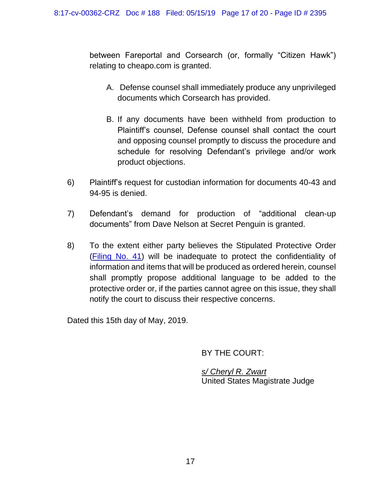between Fareportal and Corsearch (or, formally "Citizen Hawk") relating to cheapo.com is granted.

- A. Defense counsel shall immediately produce any unprivileged documents which Corsearch has provided.
- B. If any documents have been withheld from production to Plaintiff's counsel, Defense counsel shall contact the court and opposing counsel promptly to discuss the procedure and schedule for resolving Defendant's privilege and/or work product objections.
- 6) Plaintiff's request for custodian information for documents 40-43 and 94-95 is denied.
- 7) Defendant's demand for production of "additional clean-up documents" from Dave Nelson at Secret Penguin is granted.
- 8) To the extent either party believes the Stipulated Protective Order [\(Filing No. 41\)](https://ecf.ned.uscourts.gov/doc1/11313894161) will be inadequate to protect the confidentiality of information and items that will be produced as ordered herein, counsel shall promptly propose additional language to be added to the protective order or, if the parties cannot agree on this issue, they shall notify the court to discuss their respective concerns.

Dated this 15th day of May, 2019.

BY THE COURT:

*s/ Cheryl R. Zwart* United States Magistrate Judge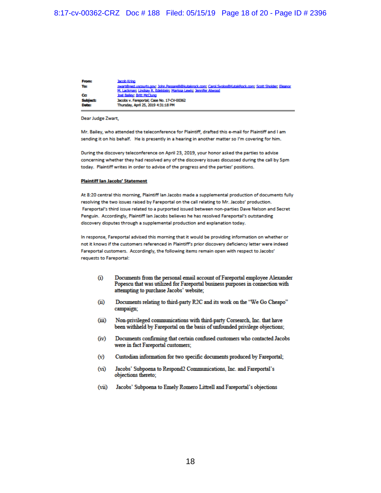| <b>From:</b>    | <b>Jacob Kring</b>                                                                                       |
|-----------------|----------------------------------------------------------------------------------------------------------|
| To:             | zwart@ned.uscourts.gov; John.Passarell@kutakrock.com; Carol.Svolos@KutakRock.com; Scott Sholder; Eleanor |
|                 | M. Lackman: Lindsay R. Edelstein: Marissa Lewis: Jennifer Atwood                                         |
| Cc              | <b>Joel Bailey: Britt McClung</b>                                                                        |
| <b>Subject:</b> | Jacobs v. Fareportal; Case No. 17-CV-00362                                                               |
| Date:           | Thursday, April 25, 2019 4:31:18 PM                                                                      |
|                 |                                                                                                          |

Dear Judge Zwart,

Mr. Bailey, who attended the teleconference for Plaintiff, drafted this e-mail for Plaintiff and I am sending it on his behalf. He is presently in a hearing in another matter so I'm covering for him.

During the discovery teleconference on April 23, 2019, your honor asked the parties to advise concerning whether they had resolved any of the discovery issues discussed during the call by 5pm today. Plaintiff writes in order to advise of the progress and the parties' positions.

#### **Plaintiff Ian Jacobs' Statement**

At 8:20 central this morning, Plaintiff lan Jacobs made a supplemental production of documents fully resolving the two issues raised by Fareportal on the call relating to Mr. Jacobs' production. Fareportal's third issue related to a purported issued between non-parties Dave Nelson and Secret Penguin. Accordingly, Plaintiff lan Jacobs believes he has resolved Fareportal's outstanding discovery disputes through a supplemental production and explanation today.

In response, Fareportal advised this morning that it would be providing information on whether or not it knows if the customers referenced in Plaintiff's prior discovery deficiency letter were indeed Fareportal customers. Accordingly, the following items remain open with respect to Jacobs' requests to Fareportal:

- $\bf{r}$ Documents from the personal email account of Fareportal employee Alexander Popescu that was utilized for Fareportal business purposes in connection with attempting to purchase Jacobs' website;
- Documents relating to third-party R2C and its work on the "We Go Cheapo"  $(ii)$ campaign;
- $(iii)$ Non-privileged communications with third-party Corsearch, Inc. that have been withheld by Fareportal on the basis of unfounded privilege objections;
- $(iv)$ Documents confirming that certain confused customers who contacted Jacobs were in fact Fareportal customers;
- $(v)$ Custodian information for two specific documents produced by Fareportal;
- $(vi)$ Jacobs' Subpoena to Respond2 Communications, Inc. and Fareportal's objections thereto;
- $(vii)$ Jacobs' Subpoena to Emely Romero Littrell and Fareportal's objections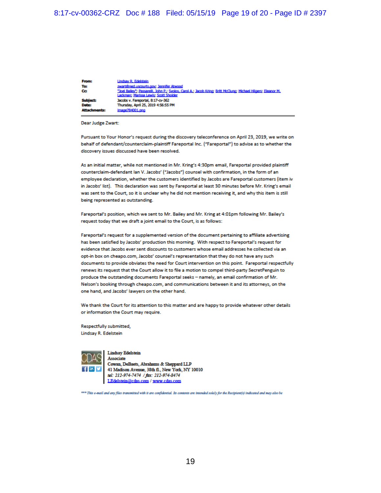| <b>From:</b>        | Lindsay R. Edelstein                                                                                           |
|---------------------|----------------------------------------------------------------------------------------------------------------|
| To:                 | zwart@ned.uscourts.gov; Jennifer Atwood                                                                        |
| Cc                  | "Joel Bailey": Passarelli, John P.; Syolos, Carol A.; Jacob Kring; Britt McClung; Michael Hilgers; Eleanor M., |
|                     | Lackman: Marissa Lewis; Scott Sholder                                                                          |
| <b>Subject:</b>     | Jacobs v. Fareportal, 8:17-cv-362                                                                              |
| Date:               | Thursday, April 25, 2019 4:56:55 PM                                                                            |
| <b>Attachments:</b> | image784001.png                                                                                                |
|                     |                                                                                                                |

**Dear Judge Zwart:** 

Pursuant to Your Honor's request during the discovery teleconference on April 23, 2019, we write on behalf of defendant/counterclaim-plaintiff Fareportal Inc. ("Fareportal") to advise as to whether the discovery issues discussed have been resolved.

As an initial matter, while not mentioned in Mr. Kring's 4:30pm email, Fareportal provided plaintiff counterclaim-defendant lan V. Jacobs' ("Jacobs") counsel with confirmation, in the form of an employee declaration, whether the customers identified by Jacobs are Fareportal customers (item iv in Jacobs' list). This declaration was sent by Fareportal at least 30 minutes before Mr. Kring's email was sent to the Court, so it is unclear why he did not mention receiving it, and why this item is still being represented as outstanding.

Fareportal's position, which we sent to Mr. Bailey and Mr. Kring at 4:01pm following Mr. Bailey's request today that we draft a joint email to the Court, is as follows:

Fareportal's request for a supplemented version of the document pertaining to affiliate advertising has been satisfied by Jacobs' production this morning. With respect to Fareportal's request for evidence that Jacobs ever sent discounts to customers whose email addresses he collected via an opt-in box on cheapo.com, Jacobs' counsel's representation that they do not have any such documents to provide obviates the need for Court intervention on this point. Fareportal respectfully renews its request that the Court allow it to file a motion to compel third-party SecretPenguin to produce the outstanding documents Fareportal seeks - namely, an email confirmation of Mr. Nelson's booking through cheapo.com, and communications between it and its attorneys, on the one hand, and Jacobs' lawyers on the other hand.

We thank the Court for its attention to this matter and are happy to provide whatever other details or information the Court may require.

Respectfully submitted, Lindsay R. Edelstein



**Lindsay Edelstein** 

Associate Cowan, DeBaets, Abrahams & Sheppard LLP 41 Madison Avenue, 38th fl., New York, NY 10010 tel: 212-974-7474 / fax: 212-974-8474 LEdelstein@cdas.com / www.cdas.com

\*\*\* This e-mail and any files transmitted with it are confidential. Its contents are intended solely for the Recipient(s) indicated and may also be